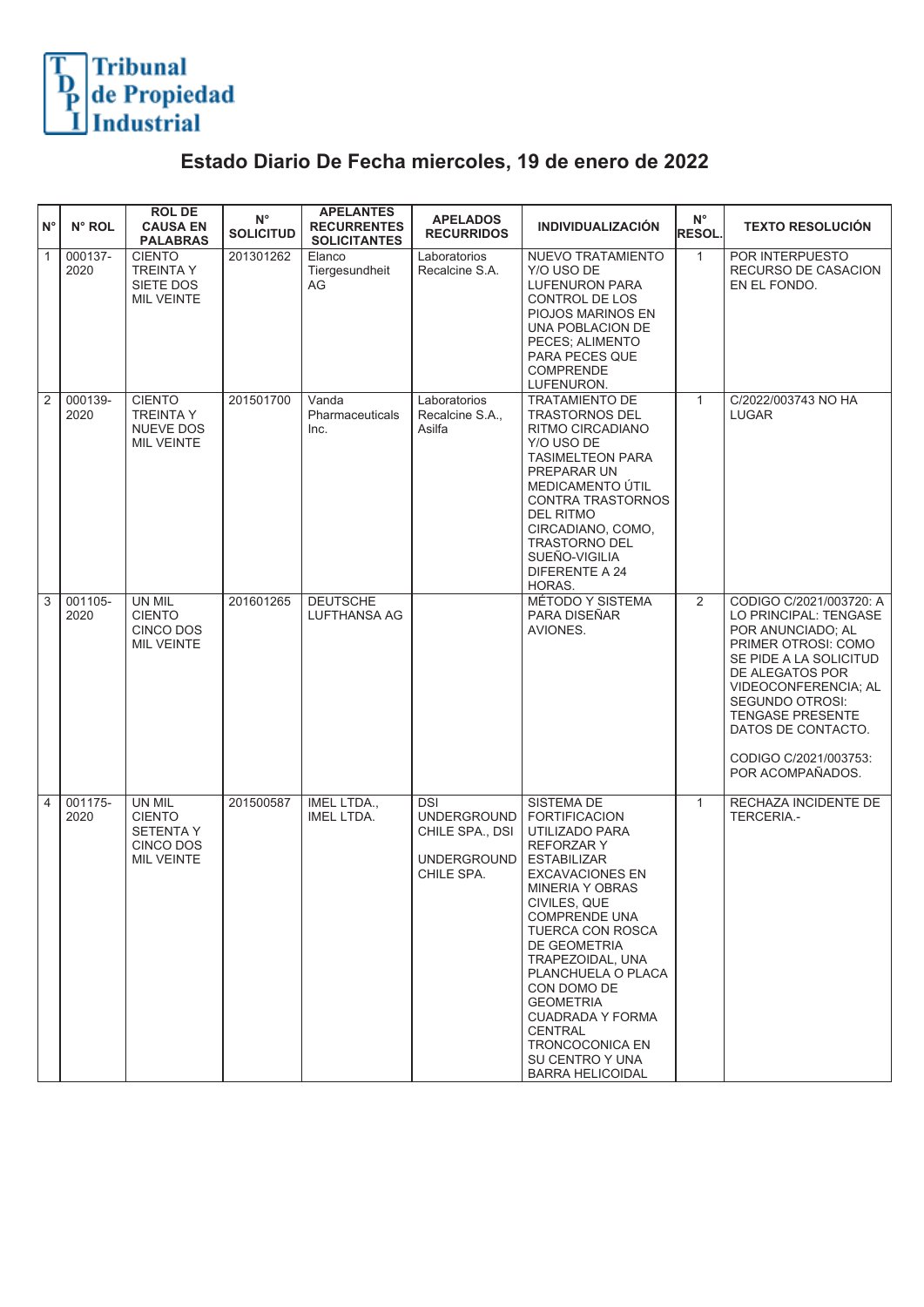## Tribunal<br>de Propiedad<br>Industrial

## **Estado Diario De Fecha miercoles, 19 de enero de 2022**

| $N^{\circ}$    | N° ROL          | <b>ROL DE</b><br><b>CAUSA EN</b><br><b>PALABRAS</b>                                  | $N^{\circ}$<br><b>SOLICITUD</b> | <b>APELANTES</b><br><b>RECURRENTES</b><br><b>SOLICITANTES</b> | <b>APELADOS</b><br><b>RECURRIDOS</b>                                                    | <b>INDIVIDUALIZACIÓN</b>                                                                                                                                                                                                                                                                                                                                                                                                         | $\mathsf{N}^\circ$<br><b>RESOL.</b> | <b>TEXTO RESOLUCIÓN</b>                                                                                                                                                                                                                                                                   |
|----------------|-----------------|--------------------------------------------------------------------------------------|---------------------------------|---------------------------------------------------------------|-----------------------------------------------------------------------------------------|----------------------------------------------------------------------------------------------------------------------------------------------------------------------------------------------------------------------------------------------------------------------------------------------------------------------------------------------------------------------------------------------------------------------------------|-------------------------------------|-------------------------------------------------------------------------------------------------------------------------------------------------------------------------------------------------------------------------------------------------------------------------------------------|
| $\overline{1}$ | 000137-<br>2020 | <b>CIENTO</b><br><b>TREINTA Y</b><br>SIETE DOS<br><b>MIL VEINTE</b>                  | 201301262                       | Elanco<br>Tiergesundheit<br>AG                                | Laboratorios<br>Recalcine S.A.                                                          | NUEVO TRATAMIENTO<br>Y/O USO DE<br><b>LUFENURON PARA</b><br>CONTROL DE LOS<br>PIOJOS MARINOS EN<br>UNA POBLACION DE<br>PECES; ALIMENTO<br>PARA PECES QUE<br><b>COMPRENDE</b><br>LUFENURON.                                                                                                                                                                                                                                       | $\mathbf{1}$                        | POR INTERPUESTO<br>RECURSO DE CASACION<br>EN EL FONDO.                                                                                                                                                                                                                                    |
| $\overline{2}$ | 000139-<br>2020 | <b>CIENTO</b><br><b>TREINTA Y</b><br><b>NUEVE DOS</b><br><b>MIL VEINTE</b>           | 201501700                       | Vanda<br>Pharmaceuticals<br>Inc.                              | Laboratorios<br>Recalcine S.A.,<br>Asilfa                                               | <b>TRATAMIENTO DE</b><br><b>TRASTORNOS DEL</b><br>RITMO CIRCADIANO<br>Y/O USO DE<br><b>TASIMELTEON PARA</b><br>PREPARAR UN<br><b>MEDICAMENTO ÚTIL</b><br><b>CONTRA TRASTORNOS</b><br>DEL RITMO<br>CIRCADIANO, COMO,<br><b>TRASTORNO DEL</b><br>SUEÑO-VIGILIA<br>DIFERENTE A 24<br>HORAS.                                                                                                                                         | $\mathbf{1}$                        | C/2022/003743 NO HA<br><b>LUGAR</b>                                                                                                                                                                                                                                                       |
| $\overline{3}$ | 001105-<br>2020 | UN MIL<br><b>CIENTO</b><br><b>CINCO DOS</b><br>MIL VEINTE                            | 201601265                       | <b>DEUTSCHE</b><br><b>LUFTHANSA AG</b>                        |                                                                                         | MÉTODO Y SISTEMA<br>PARA DISEÑAR<br>AVIONES.                                                                                                                                                                                                                                                                                                                                                                                     | $\overline{2}$                      | CODIGO C/2021/003720: A<br>LO PRINCIPAL: TENGASE<br>POR ANUNCIADO; AL<br>PRIMER OTROSI: COMO<br>SE PIDE A LA SOLICITUD<br>DE ALEGATOS POR<br>VIDEOCONFERENCIA; AL<br><b>SEGUNDO OTROSI:</b><br><b>TENGASE PRESENTE</b><br>DATOS DE CONTACTO.<br>CODIGO C/2021/003753:<br>POR ACOMPAÑADOS. |
| 4              | 001175-<br>2020 | UN MIL<br><b>CIENTO</b><br><b>SETENTA Y</b><br><b>CINCO DOS</b><br><b>MIL VEINTE</b> | 201500587                       | IMEL LTDA.,<br><b>IMEL LTDA.</b>                              | <b>DSI</b><br><b>UNDERGROUND</b><br>CHILE SPA., DSI<br><b>UNDERGROUND</b><br>CHILE SPA. | <b>SISTEMA DE</b><br><b>FORTIFICACION</b><br>UTILIZADO PARA<br><b>REFORZARY</b><br><b>ESTABILIZAR</b><br><b>EXCAVACIONES EN</b><br><b>MINERIA Y OBRAS</b><br>CIVILES, QUE<br><b>COMPRENDE UNA</b><br>TUERCA CON ROSCA<br>DE GEOMETRIA<br>TRAPEZOIDAL, UNA<br>PLANCHUELA O PLACA<br>CON DOMO DE<br><b>GEOMETRIA</b><br><b>CUADRADA Y FORMA</b><br><b>CENTRAL</b><br>TRONCOCONICA EN<br>SU CENTRO Y UNA<br><b>BARRA HELICOIDAL</b> | $\mathbf{1}$                        | RECHAZA INCIDENTE DE<br>TERCERIA.-                                                                                                                                                                                                                                                        |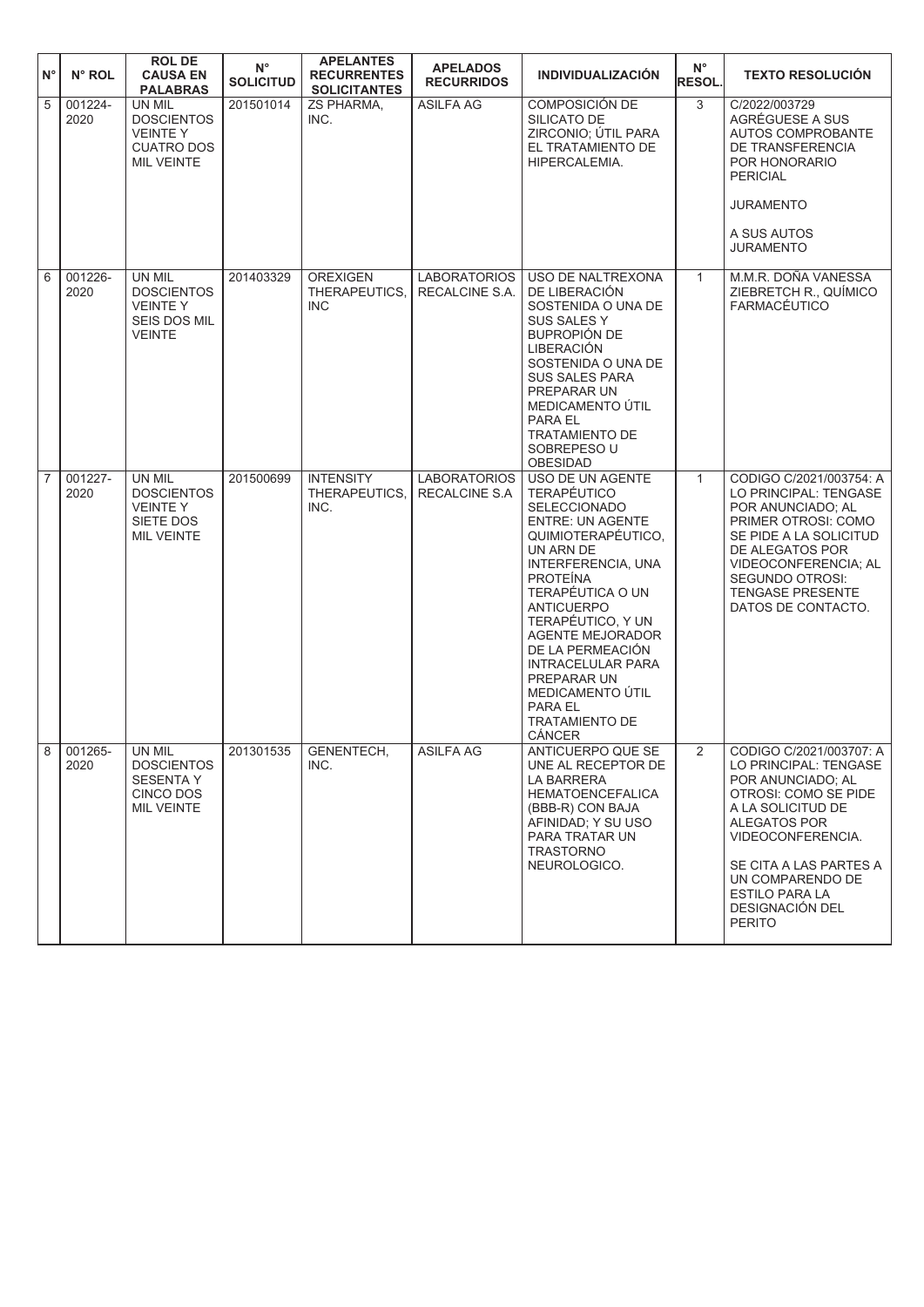| $N^{\circ}$    | N° ROL             | <b>ROLDE</b><br><b>CAUSA EN</b><br><b>PALABRAS</b>                                      | $N^{\circ}$<br><b>SOLICITUD</b> | <b>APELANTES</b><br><b>RECURRENTES</b><br><b>SOLICITANTES</b> | <b>APELADOS</b><br><b>RECURRIDOS</b>        | <b>INDIVIDUALIZACIÓN</b>                                                                                                                                                                                                                                                                                                                                                         | $N^{\circ}$<br><b>RESOL.</b> | <b>TEXTO RESOLUCIÓN</b>                                                                                                                                                                                                                                            |
|----------------|--------------------|-----------------------------------------------------------------------------------------|---------------------------------|---------------------------------------------------------------|---------------------------------------------|----------------------------------------------------------------------------------------------------------------------------------------------------------------------------------------------------------------------------------------------------------------------------------------------------------------------------------------------------------------------------------|------------------------------|--------------------------------------------------------------------------------------------------------------------------------------------------------------------------------------------------------------------------------------------------------------------|
| 5              | 001224-<br>2020    | UN MIL<br><b>DOSCIENTOS</b><br><b>VEINTEY</b><br><b>CUATRO DOS</b><br><b>MIL VEINTE</b> | 201501014                       | <b>ZS PHARMA,</b><br>INC.                                     | <b>ASILFA AG</b>                            | COMPOSICIÓN DE<br>SILICATO DE<br>ZIRCONIO; ÚTIL PARA<br>EL TRATAMIENTO DE<br>HIPERCALEMIA.                                                                                                                                                                                                                                                                                       | 3                            | C/2022/003729<br>AGRÉGUESE A SUS<br>AUTOS COMPROBANTE<br>DE TRANSFERENCIA<br>POR HONORARIO<br><b>PERICIAL</b><br><b>JURAMENTO</b><br>A SUS AUTOS<br><b>JURAMENTO</b>                                                                                               |
| 6              | 001226-<br>2020    | UN MIL<br><b>DOSCIENTOS</b><br><b>VEINTEY</b><br>SEIS DOS MIL<br><b>VEINTE</b>          | 201403329                       | <b>OREXIGEN</b><br>THERAPEUTICS,<br><b>INC</b>                | <b>LABORATORIOS</b><br>RECALCINE S.A.       | USO DE NALTREXONA<br>DE LIBERACIÓN<br>SOSTENIDA O UNA DE<br>SUS SALES Y<br>BUPROPIÓN DE<br>LIBERACIÓN<br>SOSTENIDA O UNA DE<br><b>SUS SALES PARA</b><br>PREPARAR UN<br>MEDICAMENTO ÚTIL<br>PARA EL<br><b>TRATAMIENTO DE</b><br>SOBREPESO U<br><b>OBESIDAD</b>                                                                                                                    | $\mathbf{1}$                 | M.M.R. DOÑA VANESSA<br>ZIEBRETCH R., QUÍMICO<br>FARMACÉUTICO                                                                                                                                                                                                       |
| $\overline{7}$ | $001227 -$<br>2020 | UN MIL<br><b>DOSCIENTOS</b><br><b>VEINTEY</b><br>SIETE DOS<br><b>MIL VEINTE</b>         | 201500699                       | <b>INTENSITY</b><br>THERAPEUTICS,<br>INC.                     | <b>LABORATORIOS</b><br><b>RECALCINE S.A</b> | <b>USO DE UN AGENTE</b><br><b>TERAPÉUTICO</b><br>SELECCIONADO<br><b>ENTRE: UN AGENTE</b><br>QUIMIOTERAPÉUTICO,<br>UN ARN DE<br>INTERFERENCIA, UNA<br><b>PROTEINA</b><br>TERAPÉUTICA O UN<br><b>ANTICUERPO</b><br>TERAPÉUTICO, Y UN<br><b>AGENTE MEJORADOR</b><br>DE LA PERMEACIÓN<br>INTRACELULAR PARA<br>PREPARAR UN<br>MEDICAMENTO ÚTIL<br>PARA EL<br>TRATAMIENTO DE<br>CÁNCER | $\mathbf{1}$                 | CODIGO C/2021/003754: A<br>LO PRINCIPAL: TENGASE<br>POR ANUNCIADO; AL<br>PRIMER OTROSI: COMO<br>SE PIDE A LA SOLICITUD<br>DE ALEGATOS POR<br>VIDEOCONFERENCIA; AL<br><b>SEGUNDO OTROSI:</b><br><b>TENGASE PRESENTE</b><br>DATOS DE CONTACTO.                       |
| 8.             | 001265-<br>2020    | UN MIL<br><b>DOSCIENTOS</b><br><b>SESENTA Y</b><br>CINCO DOS<br><b>MIL VEINTE</b>       | 201301535                       | GENENTECH,<br>INC.                                            | ASILFA AG                                   | ANTICUERPO QUE SE<br>UNE AL RECEPTOR DE<br>LA BARRERA<br><b>HEMATOENCEFALICA</b><br>(BBB-R) CON BAJA<br>AFINIDAD: Y SU USO<br>PARA TRATAR UN<br><b>TRASTORNO</b><br>NEUROLOGICO.                                                                                                                                                                                                 | 2                            | CODIGO C/2021/003707: A<br>LO PRINCIPAL: TENGASE<br>POR ANUNCIADO; AL<br>OTROSI: COMO SE PIDE<br>A LA SOLICITUD DE<br>ALEGATOS POR<br>VIDEOCONFERENCIA.<br>SE CITA A LAS PARTES A<br>UN COMPARENDO DE<br><b>ESTILO PARA LA</b><br>DESIGNACIÓN DEL<br><b>PERITO</b> |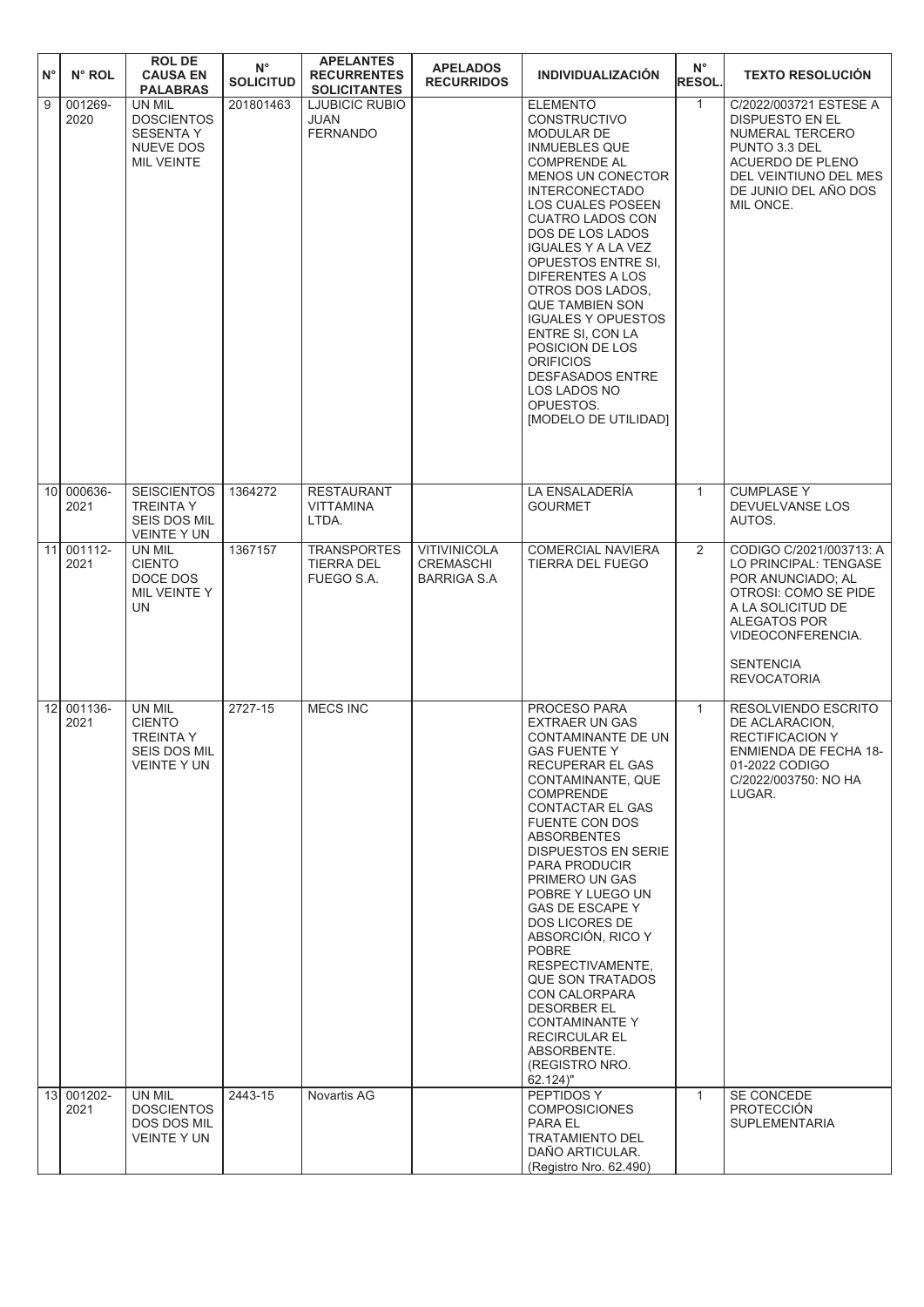| $N^{\circ}$     | N° ROL             | <b>ROL DE</b><br><b>CAUSA EN</b><br><b>PALABRAS</b>                                      | $\mathsf{N}^\circ$<br><b>SOLICITUD</b> | <b>APELANTES</b><br><b>RECURRENTES</b><br><b>SOLICITANTES</b> | <b>APELADOS</b><br><b>RECURRIDOS</b>            | <b>INDIVIDUALIZACIÓN</b>                                                                                                                                                                                                                                                                                                                                                                                                                                                                                                                               | $N^{\circ}$<br><b>RESOL.</b> | <b>TEXTO RESOLUCIÓN</b>                                                                                                                                                                                  |
|-----------------|--------------------|------------------------------------------------------------------------------------------|----------------------------------------|---------------------------------------------------------------|-------------------------------------------------|--------------------------------------------------------------------------------------------------------------------------------------------------------------------------------------------------------------------------------------------------------------------------------------------------------------------------------------------------------------------------------------------------------------------------------------------------------------------------------------------------------------------------------------------------------|------------------------------|----------------------------------------------------------------------------------------------------------------------------------------------------------------------------------------------------------|
| 9               | 001269-<br>2020    | UN MIL<br><b>DOSCIENTOS</b><br><b>SESENTA Y</b><br><b>NUEVE DOS</b><br><b>MIL VEINTE</b> | 201801463                              | <b>LJUBICIC RUBIO</b><br>JUAN<br><b>FERNANDO</b>              |                                                 | <b>ELEMENTO</b><br><b>CONSTRUCTIVO</b><br>MODULAR DE<br><b>INMUEBLES QUE</b><br><b>COMPRENDE AL</b><br><b>MENOS UN CONECTOR</b><br><b>INTERCONECTADO</b><br>LOS CUALES POSEEN<br><b>CUATRO LADOS CON</b><br>DOS DE LOS LADOS<br><b>IGUALES Y A LA VEZ</b><br>OPUESTOS ENTRE SI,<br><b>DIFERENTES A LOS</b><br>OTROS DOS LADOS,<br><b>QUE TAMBIEN SON</b><br><b>IGUALES Y OPUESTOS</b><br>ENTRE SI, CON LA<br>POSICION DE LOS<br><b>ORIFICIOS</b><br><b>DESFASADOS ENTRE</b><br>LOS LADOS NO<br>OPUESTOS.<br>[MODELO DE UTILIDAD]                       | $\mathbf{1}$                 | C/2022/003721 ESTESE A<br>DISPUESTO EN EL<br><b>NUMERAL TERCERO</b><br>PUNTO 3.3 DEL<br>ACUERDO DE PLENO<br>DEL VEINTIUNO DEL MES<br>DE JUNIO DEL AÑO DOS<br>MIL ONCE.                                   |
| 10 <sup>1</sup> | 000636-<br>2021    | <b>SEISCIENTOS</b><br><b>TREINTA Y</b><br>SEIS DOS MIL<br><b>VEINTE Y UN</b>             | 1364272                                | <b>RESTAURANT</b><br><b>VITTAMINA</b><br>LTDA.                |                                                 | LA ENSALADERÍA<br><b>GOURMET</b>                                                                                                                                                                                                                                                                                                                                                                                                                                                                                                                       | $\mathbf{1}$                 | <b>CUMPLASE Y</b><br>DEVUELVANSE LOS<br>AUTOS.                                                                                                                                                           |
| 11              | 001112-<br>2021    | UN MIL<br><b>CIENTO</b><br>DOCE DOS<br>MIL VEINTE Y<br>UN                                | 1367157                                | <b>TRANSPORTES</b><br><b>TIERRA DEL</b><br>FUEGO S.A.         | <b>VITIVINICOLA</b><br>CREMASCHI<br>BARRIGA S.A | <b>COMERCIAL NAVIERA</b><br>TIERRA DEL FUEGO                                                                                                                                                                                                                                                                                                                                                                                                                                                                                                           | 2                            | CODIGO C/2021/003713: A<br>LO PRINCIPAL: TENGASE<br>POR ANUNCIADO; AL<br>OTROSI: COMO SE PIDE<br>A LA SOLICITUD DE<br><b>ALEGATOS POR</b><br>VIDEOCONFERENCIA.<br><b>SENTENCIA</b><br><b>REVOCATORIA</b> |
| 12              | 001136-<br>2021    | UN MIL<br><b>CIENTO</b><br><b>TREINTA Y</b><br>SEIS DOS MIL<br><b>VEINTE Y UN</b>        | 2727-15                                | <b>MECS INC</b>                                               |                                                 | PROCESO PARA<br><b>EXTRAER UN GAS</b><br>CONTAMINANTE DE UN<br>GAS FUENTE Y<br>RECUPERAR EL GAS<br>CONTAMINANTE, QUE<br><b>COMPRENDE</b><br>CONTACTAR EL GAS<br>FUENTE CON DOS<br><b>ABSORBENTES</b><br>DISPUESTOS EN SERIE<br>PARA PRODUCIR<br>PRIMERO UN GAS<br>POBRE Y LUEGO UN<br><b>GAS DE ESCAPE Y</b><br>DOS LICORES DE<br>ABSORCIÓN, RICO Y<br><b>POBRE</b><br>RESPECTIVAMENTE,<br><b>QUE SON TRATADOS</b><br>CON CALORPARA<br><b>DESORBER EL</b><br><b>CONTAMINANTE Y</b><br><b>RECIRCULAR EL</b><br>ABSORBENTE.<br>(REGISTRO NRO.<br>62.124" | $\mathbf{1}$                 | RESOLVIENDO ESCRITO<br>DE ACLARACION,<br><b>RECTIFICACION Y</b><br>ENMIENDA DE FECHA 18-<br>01-2022 CODIGO<br>C/2022/003750: NO HA<br>LUGAR.                                                             |
|                 | 13 001202-<br>2021 | UN MIL<br><b>DOSCIENTOS</b><br>DOS DOS MIL<br>VEINTE Y UN                                | 2443-15                                | Novartis AG                                                   |                                                 | PEPTIDOS Y<br><b>COMPOSICIONES</b><br>PARA EL<br><b>TRATAMIENTO DEL</b><br>DAÑO ARTICULAR.<br>(Registro Nro. 62.490)                                                                                                                                                                                                                                                                                                                                                                                                                                   | $\mathbf{1}$                 | SE CONCEDE<br><b>PROTECCIÓN</b><br><b>SUPLEMENTARIA</b>                                                                                                                                                  |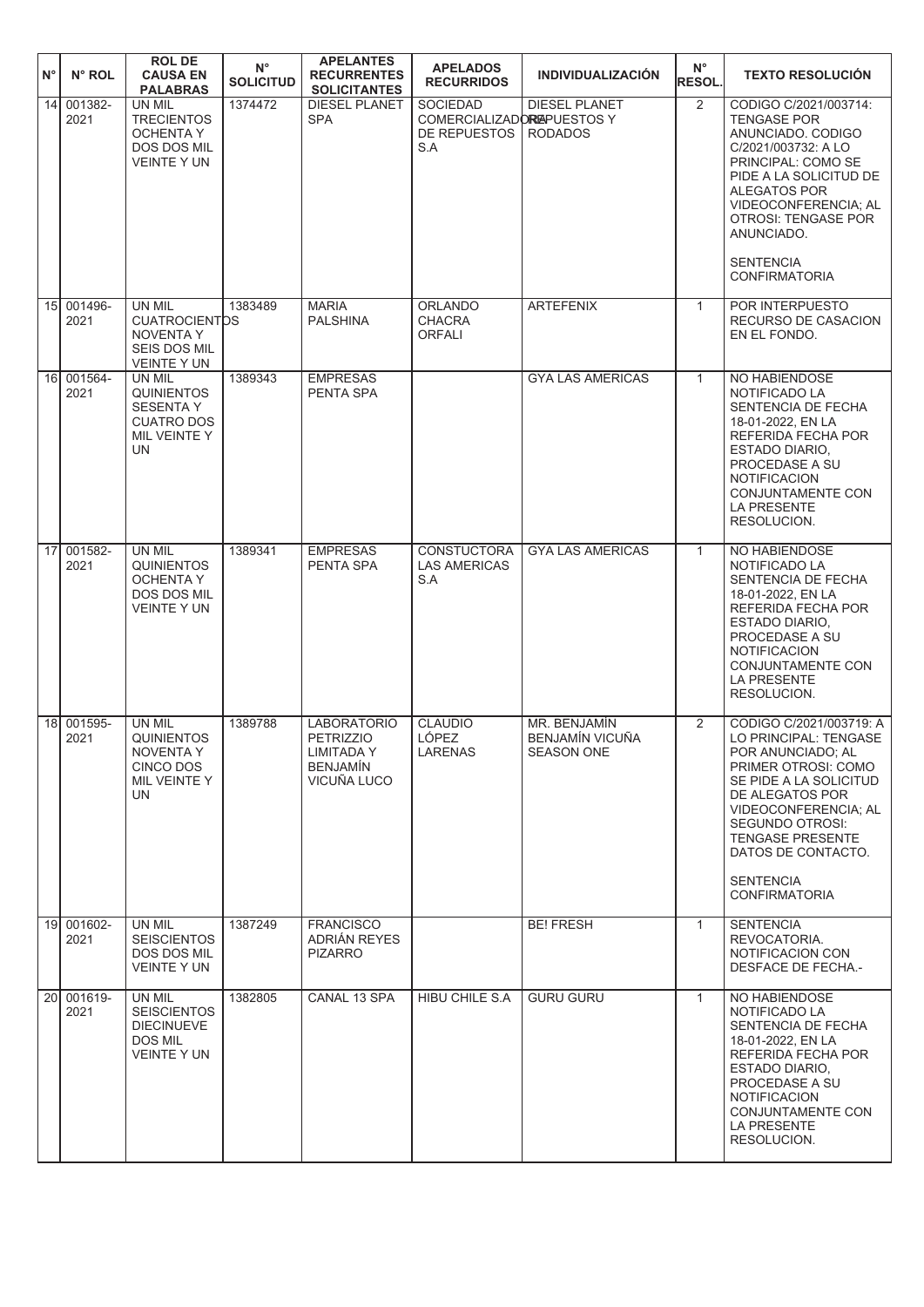| $N^{\circ}$     | N° ROL             | <b>ROL DE</b><br><b>CAUSA EN</b><br><b>PALABRAS</b>                                                | $N^{\circ}$<br><b>SOLICITUD</b> | <b>APELANTES</b><br><b>RECURRENTES</b><br><b>SOLICITANTES</b>                          | <b>APELADOS</b><br><b>RECURRIDOS</b>                                 | <b>INDIVIDUALIZACIÓN</b>                             | $N^{\circ}$<br><b>RESOL.</b> | <b>TEXTO RESOLUCIÓN</b>                                                                                                                                                                                                                                                           |
|-----------------|--------------------|----------------------------------------------------------------------------------------------------|---------------------------------|----------------------------------------------------------------------------------------|----------------------------------------------------------------------|------------------------------------------------------|------------------------------|-----------------------------------------------------------------------------------------------------------------------------------------------------------------------------------------------------------------------------------------------------------------------------------|
| $\overline{14}$ | 001382-<br>2021    | UN MIL<br><b>TRECIENTOS</b><br><b>OCHENTA Y</b><br><b>DOS DOS MIL</b><br><b>VEINTE Y UN</b>        | 1374472                         | <b>DIESEL PLANET</b><br><b>SPA</b>                                                     | <b>SOCIEDAD</b><br>COMERCIALIZADOREAPUESTOS Y<br>DE REPUESTOS<br>S.A | <b>DIESEL PLANET</b><br><b>RODADOS</b>               | $\overline{2}$               | CODIGO C/2021/003714:<br><b>TENGASE POR</b><br>ANUNCIADO, CODIGO<br>C/2021/003732: A LO<br>PRINCIPAL: COMO SE<br>PIDE A LA SOLICITUD DE<br><b>ALEGATOS POR</b><br>VIDEOCONFERENCIA; AL<br><b>OTROSI: TENGASE POR</b><br>ANUNCIADO.<br><b>SENTENCIA</b><br><b>CONFIRMATORIA</b>    |
| 15              | 001496-<br>2021    | UN MIL<br><b>CUATROCIENTOS</b><br><b>NOVENTA Y</b><br>SEIS DOS MIL<br><b>VEINTE Y UN</b>           | 1383489                         | <b>MARIA</b><br><b>PALSHINA</b>                                                        | <b>ORLANDO</b><br><b>CHACRA</b><br><b>ORFALI</b>                     | <b>ARTEFENIX</b>                                     | $\mathbf{1}$                 | POR INTERPUESTO<br>RECURSO DE CASACION<br>EN EL FONDO.                                                                                                                                                                                                                            |
| 16 <sup>1</sup> | 001564-<br>2021    | UN MIL<br><b>QUINIENTOS</b><br><b>SESENTA Y</b><br><b>CUATRO DOS</b><br>MIL VEINTE Y<br><b>UN</b>  | 1389343                         | <b>EMPRESAS</b><br>PENTA SPA                                                           |                                                                      | <b>GYA LAS AMERICAS</b>                              | $\mathbf{1}$                 | NO HABIENDOSE<br>NOTIFICADO LA<br>SENTENCIA DE FECHA<br>18-01-2022, EN LA<br>REFERIDA FECHA POR<br><b>ESTADO DIARIO,</b><br>PROCEDASE A SU<br><b>NOTIFICACION</b><br><b>CONJUNTAMENTE CON</b><br><b>LA PRESENTE</b><br>RESOLUCION.                                                |
| 17 <sup>1</sup> | 001582-<br>2021    | <b>UN MIL</b><br><b>QUINIENTOS</b><br><b>OCHENTA Y</b><br><b>DOS DOS MIL</b><br><b>VEINTE Y UN</b> | 1389341                         | <b>EMPRESAS</b><br>PENTA SPA                                                           | <b>CONSTUCTORA</b><br><b>LAS AMERICAS</b><br>S.A                     | <b>GYA LAS AMERICAS</b>                              | $\mathbf{1}$                 | NO HABIENDOSE<br>NOTIFICADO LA<br>SENTENCIA DE FECHA<br>18-01-2022, EN LA<br>REFERIDA FECHA POR<br><b>ESTADO DIARIO,</b><br>PROCEDASE A SU<br><b>NOTIFICACION</b><br>CONJUNTAMENTE CON<br><b>LA PRESENTE</b><br>RESOLUCION.                                                       |
| 18 <sup>l</sup> | 001595-<br>2021    | UN MIL<br><b>QUINIENTOS</b><br>NOVENTA Y<br>CINCO DOS<br>MIL VEINTE Y<br>UN.                       | 1389788                         | <b>LABORATORIO</b><br><b>PETRIZZIO</b><br>LIMITADA Y<br><b>BENJAMIN</b><br>VICUÑA LUCO | <b>CLAUDIO</b><br>LÓPEZ<br><b>LARENAS</b>                            | MR. BENJAMÍN<br>BENJAMÍN VICUÑA<br><b>SEASON ONE</b> | 2                            | CODIGO C/2021/003719: A<br>LO PRINCIPAL: TENGASE<br>POR ANUNCIADO; AL<br>PRIMER OTROSI: COMO<br>SE PIDE A LA SOLICITUD<br>DE ALEGATOS POR<br>VIDEOCONFERENCIA; AL<br>SEGUNDO OTROSI:<br><b>TENGASE PRESENTE</b><br>DATOS DE CONTACTO.<br><b>SENTENCIA</b><br><b>CONFIRMATORIA</b> |
|                 | 19 001602-<br>2021 | UN MIL<br><b>SEISCIENTOS</b><br>DOS DOS MIL<br><b>VEINTE Y UN</b>                                  | 1387249                         | <b>FRANCISCO</b><br>ADRIÁN REYES<br><b>PIZARRO</b>                                     |                                                                      | <b>BE! FRESH</b>                                     | $\mathbf{1}$                 | <b>SENTENCIA</b><br>REVOCATORIA.<br>NOTIFICACION CON<br><b>DESFACE DE FECHA .-</b>                                                                                                                                                                                                |
| 20 <sup>1</sup> | 001619-<br>2021    | UN MIL<br><b>SEISCIENTOS</b><br><b>DIECINUEVE</b><br>DOS MIL<br>VEINTE Y UN                        | 1382805                         | CANAL 13 SPA                                                                           | <b>HIBU CHILE S.A</b>                                                | <b>GURU GURU</b>                                     | $\mathbf{1}$                 | NO HABIENDOSE<br>NOTIFICADO LA<br>SENTENCIA DE FECHA<br>18-01-2022, EN LA<br>REFERIDA FECHA POR<br>ESTADO DIARIO.<br>PROCEDASE A SU<br><b>NOTIFICACION</b><br>CONJUNTAMENTE CON<br><b>LA PRESENTE</b><br>RESOLUCION.                                                              |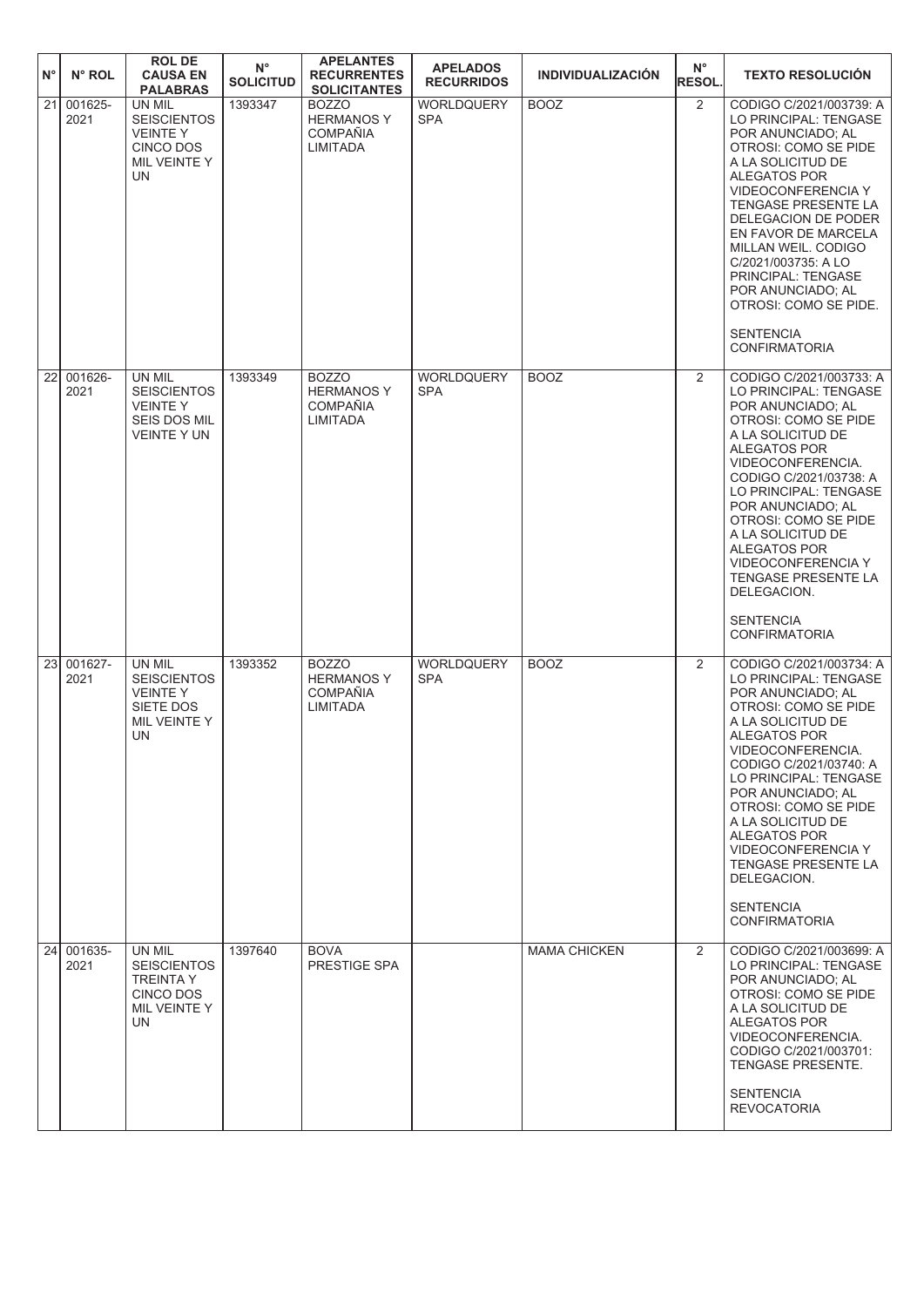| $N^{\circ}$  | N° ROL             | <b>ROL DE</b><br><b>CAUSA EN</b><br><b>PALABRAS</b>                                             | $N^{\circ}$<br><b>SOLICITUD</b> | <b>APELANTES</b><br><b>RECURRENTES</b><br><b>SOLICITANTES</b>           | <b>APELADOS</b><br><b>RECURRIDOS</b> | <b>INDIVIDUALIZACIÓN</b> | $N^{\circ}$<br><b>RESOL.</b> | <b>TEXTO RESOLUCIÓN</b>                                                                                                                                                                                                                                                                                                                                                                                                   |
|--------------|--------------------|-------------------------------------------------------------------------------------------------|---------------------------------|-------------------------------------------------------------------------|--------------------------------------|--------------------------|------------------------------|---------------------------------------------------------------------------------------------------------------------------------------------------------------------------------------------------------------------------------------------------------------------------------------------------------------------------------------------------------------------------------------------------------------------------|
| $\boxed{21}$ | 001625-<br>2021    | UN MIL<br><b>SEISCIENTOS</b><br><b>VEINTEY</b><br><b>CINCO DOS</b><br>MIL VEINTE Y<br><b>UN</b> | 1393347                         | <b>BOZZO</b><br><b>HERMANOS Y</b><br><b>COMPAÑIA</b><br>LIMITADA        | WORLDQUERY<br><b>SPA</b>             | <b>BOOZ</b>              | 2                            | CODIGO C/2021/003739: A<br>LO PRINCIPAL: TENGASE<br>POR ANUNCIADO; AL<br>OTROSI: COMO SE PIDE<br>A LA SOLICITUD DE<br>ALEGATOS POR<br>VIDEOCONFERENCIA Y<br><b>TENGASE PRESENTE LA</b><br><b>DELEGACION DE PODER</b><br>EN FAVOR DE MARCELA<br>MILLAN WEIL. CODIGO<br>C/2021/003735: A LO<br>PRINCIPAL: TENGASE<br>POR ANUNCIADO; AL<br>OTROSI: COMO SE PIDE.<br><b>SENTENCIA</b><br><b>CONFIRMATORIA</b>                 |
| 22           | 001626-<br>2021    | UN MIL<br><b>SEISCIENTOS</b><br><b>VEINTEY</b><br><b>SEIS DOS MIL</b><br><b>VEINTE Y UN</b>     | 1393349                         | <b>BOZZO</b><br><b>HERMANOS Y</b><br><b>COMPAÑIA</b><br><b>LIMITADA</b> | WORLDQUERY<br><b>SPA</b>             | <b>BOOZ</b>              | 2                            | CODIGO C/2021/003733: A<br>LO PRINCIPAL: TENGASE<br>POR ANUNCIADO: AL<br><b>OTROSI: COMO SE PIDE</b><br>A LA SOLICITUD DE<br><b>ALEGATOS POR</b><br>VIDEOCONFERENCIA.<br>CODIGO C/2021/03738: A<br>LO PRINCIPAL: TENGASE<br>POR ANUNCIADO; AL<br>OTROSI: COMO SE PIDE<br>A LA SOLICITUD DE<br>ALEGATOS POR<br>VIDEOCONFERENCIA Y<br><b>TENGASE PRESENTE LA</b><br>DELEGACION.<br><b>SENTENCIA</b><br><b>CONFIRMATORIA</b> |
| 23           | 001627-<br>2021    | UN MIL<br><b>SEISCIENTOS</b><br><b>VEINTEY</b><br>SIETE DOS<br>MIL VEINTE Y<br>UN               | 1393352                         | <b>BOZZO</b><br><b>HERMANOS Y</b><br><b>COMPAÑIA</b><br><b>LIMITADA</b> | WORLDQUERY<br><b>SPA</b>             | <b>BOOZ</b>              | 2                            | CODIGO C/2021/003734: A<br>LO PRINCIPAL: TENGASE<br>POR ANUNCIADO: AL<br>OTROSI: COMO SE PIDE<br>A LA SOLICITUD DE<br>ALEGATOS POR<br>VIDEOCONFERENCIA.<br>CODIGO C/2021/03740: A<br>LO PRINCIPAL: TENGASE<br>POR ANUNCIADO: AL<br>OTROSI: COMO SE PIDE<br>A LA SOLICITUD DE<br><b>ALEGATOS POR</b><br>VIDEOCONFERENCIA Y<br>TENGASE PRESENTE LA<br>DELEGACION.<br><b>SENTENCIA</b><br><b>CONFIRMATORIA</b>               |
|              | 24 001635-<br>2021 | UN MIL<br><b>SEISCIENTOS</b><br><b>TREINTA Y</b><br>CINCO DOS<br>MIL VEINTE Y<br>UN.            | 1397640                         | <b>BOVA</b><br>PRESTIGE SPA                                             |                                      | <b>MAMA CHICKEN</b>      | $\overline{2}$               | CODIGO C/2021/003699: A<br>LO PRINCIPAL: TENGASE<br>POR ANUNCIADO; AL<br>OTROSI: COMO SE PIDE<br>A LA SOLICITUD DE<br>ALEGATOS POR<br>VIDEOCONFERENCIA.<br>CODIGO C/2021/003701:<br>TENGASE PRESENTE.<br><b>SENTENCIA</b><br><b>REVOCATORIA</b>                                                                                                                                                                           |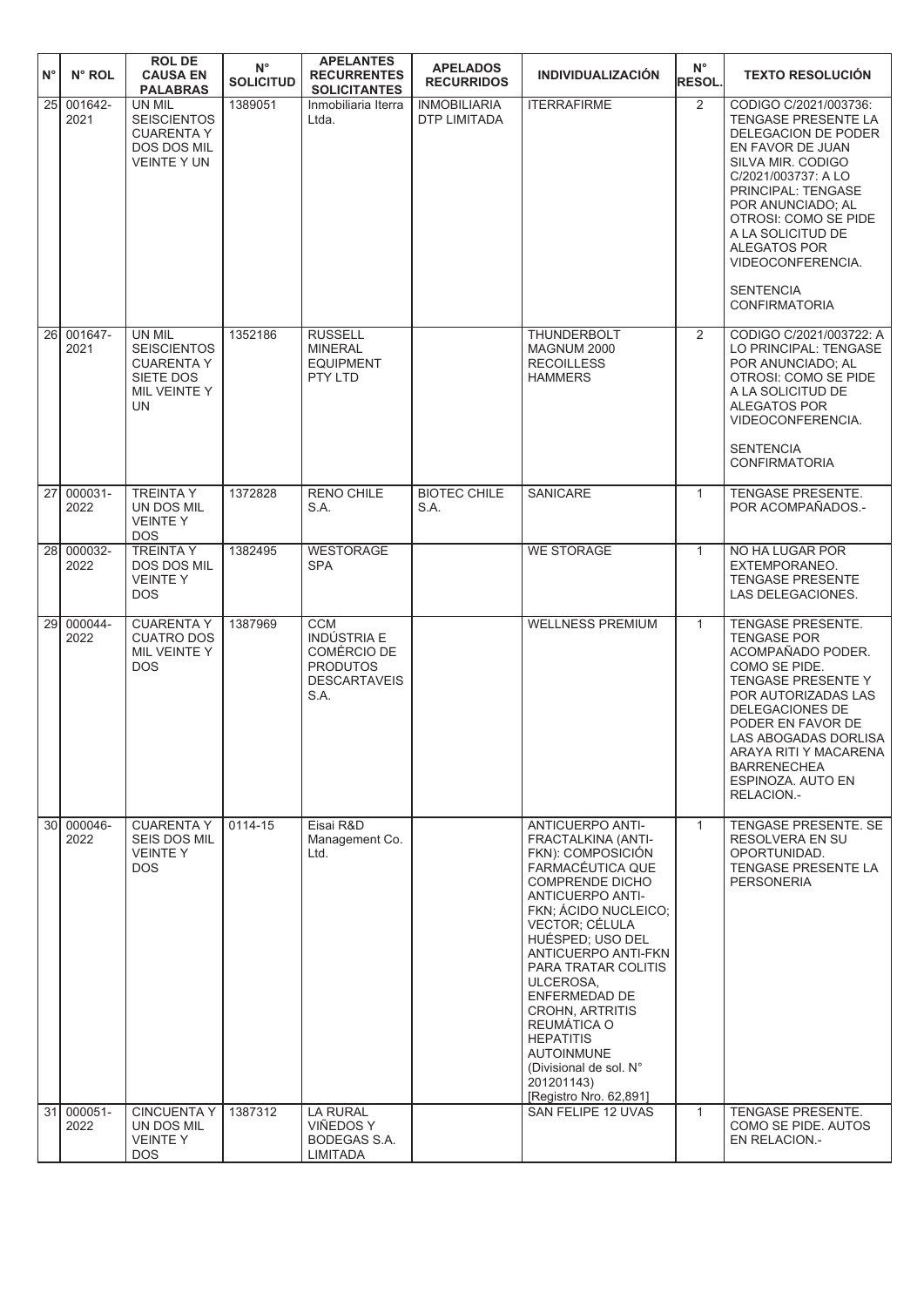| $N^{\circ}$ | N° ROL             | <b>ROL DE</b><br><b>CAUSA EN</b><br><b>PALABRAS</b>                                         | $N^{\circ}$<br><b>SOLICITUD</b> | <b>APELANTES</b><br><b>RECURRENTES</b><br><b>SOLICITANTES</b>                                     | <b>APELADOS</b><br><b>RECURRIDOS</b> | <b>INDIVIDUALIZACIÓN</b>                                                                                                                                                                                                                                                                                                                                                                                                           | $N^{\circ}$<br><b>RESOL.</b> | <b>TEXTO RESOLUCIÓN</b>                                                                                                                                                                                                                                                                                                    |
|-------------|--------------------|---------------------------------------------------------------------------------------------|---------------------------------|---------------------------------------------------------------------------------------------------|--------------------------------------|------------------------------------------------------------------------------------------------------------------------------------------------------------------------------------------------------------------------------------------------------------------------------------------------------------------------------------------------------------------------------------------------------------------------------------|------------------------------|----------------------------------------------------------------------------------------------------------------------------------------------------------------------------------------------------------------------------------------------------------------------------------------------------------------------------|
| 25          | 001642-<br>2021    | UN MIL<br><b>SEISCIENTOS</b><br><b>CUARENTA Y</b><br>DOS DOS MIL<br><b>VEINTE Y UN</b>      | 1389051                         | Inmobiliaria Iterra<br>Ltda.                                                                      | <b>INMOBILIARIA</b><br>DTP LIMITADA  | <b>ITERRAFIRME</b>                                                                                                                                                                                                                                                                                                                                                                                                                 | 2                            | CODIGO C/2021/003736:<br>TENGASE PRESENTE LA<br><b>DELEGACION DE PODER</b><br>EN FAVOR DE JUAN<br>SILVA MIR. CODIGO<br>C/2021/003737: A LO<br>PRINCIPAL: TENGASE<br>POR ANUNCIADO; AL<br>OTROSI: COMO SE PIDE<br>A LA SOLICITUD DE<br><b>ALEGATOS POR</b><br>VIDEOCONFERENCIA.<br><b>SENTENCIA</b><br><b>CONFIRMATORIA</b> |
| 26I         | 001647-<br>2021    | UN MIL<br><b>SEISCIENTOS</b><br><b>CUARENTA Y</b><br>SIETE DOS<br>MIL VEINTE Y<br><b>UN</b> | 1352186                         | <b>RUSSELL</b><br><b>MINERAL</b><br><b>EQUIPMENT</b><br>PTY LTD                                   |                                      | <b>THUNDERBOLT</b><br>MAGNUM 2000<br><b>RECOILLESS</b><br><b>HAMMERS</b>                                                                                                                                                                                                                                                                                                                                                           | 2                            | CODIGO C/2021/003722: A<br>LO PRINCIPAL: TENGASE<br>POR ANUNCIADO; AL<br>OTROSI: COMO SE PIDE<br>A LA SOLICITUD DE<br><b>ALEGATOS POR</b><br>VIDEOCONFERENCIA.<br><b>SENTENCIA</b><br><b>CONFIRMATORIA</b>                                                                                                                 |
| 27          | 000031-<br>2022    | <b>TREINTA Y</b><br>UN DOS MIL<br><b>VEINTEY</b><br><b>DOS</b>                              | 1372828                         | <b>RENO CHILE</b><br>S.A.                                                                         | <b>BIOTEC CHILE</b><br>S.A.          | SANICARE                                                                                                                                                                                                                                                                                                                                                                                                                           | $\mathbf{1}$                 | <b>TENGASE PRESENTE.</b><br>POR ACOMPAÑADOS .-                                                                                                                                                                                                                                                                             |
| 28          | 000032-<br>2022    | <b>TREINTA Y</b><br>DOS DOS MIL<br><b>VEINTEY</b><br><b>DOS</b>                             | 1382495                         | <b>WESTORAGE</b><br><b>SPA</b>                                                                    |                                      | <b>WE STORAGE</b>                                                                                                                                                                                                                                                                                                                                                                                                                  | $\mathbf{1}$                 | NO HA LUGAR POR<br>EXTEMPORANEO.<br><b>TENGASE PRESENTE</b><br>LAS DELEGACIONES.                                                                                                                                                                                                                                           |
| 29          | 000044-<br>2022    | <b>CUARENTA Y</b><br><b>CUATRO DOS</b><br>MIL VEINTE Y<br><b>DOS</b>                        | 1387969                         | <b>CCM</b><br>INDÚSTRIA E<br><b>COMÉRCIO DE</b><br><b>PRODUTOS</b><br><b>DESCARTAVEIS</b><br>S.A. |                                      | <b>WELLNESS PREMIUM</b>                                                                                                                                                                                                                                                                                                                                                                                                            | $\mathbf{1}$                 | TENGASE PRESENTE.<br><b>TENGASE POR</b><br>ACOMPAÑADO PODER.<br>COMO SE PIDE.<br><b>TENGASE PRESENTE Y</b><br>POR AUTORIZADAS LAS<br>DELEGACIONES DE<br>PODER EN FAVOR DE<br>LAS ABOGADAS DORLISA<br>ARAYA RITI Y MACARENA<br><b>BARRENECHEA</b><br>ESPINOZA. AUTO EN<br>RELACION.-                                        |
|             | 30 000046-<br>2022 | <b>CUARENTA Y</b><br><b>SEIS DOS MIL</b><br><b>VEINTEY</b><br><b>DOS</b>                    | 0114-15                         | Eisai R&D<br>Management Co.<br>Ltd.                                                               |                                      | <b>ANTICUERPO ANTI-</b><br>FRACTALKINA (ANTI-<br>FKN): COMPOSICIÓN<br>FARMACÉUTICA QUE<br>COMPRENDE DICHO<br><b>ANTICUERPO ANTI-</b><br>FKN; ÁCIDO NUCLEICO;<br>VECTOR; CÉLULA<br>HUÉSPED; USO DEL<br>ANTICUERPO ANTI-FKN<br>PARA TRATAR COLITIS<br>ULCEROSA,<br>ENFERMEDAD DE<br><b>CROHN, ARTRITIS</b><br>REUMATICA O<br><b>HEPATITIS</b><br><b>AUTOINMUNE</b><br>(Divisional de sol. N°<br>201201143)<br>[Registro Nro. 62,891] | $\mathbf{1}$                 | TENGASE PRESENTE. SE<br><b>RESOLVERA EN SU</b><br>OPORTUNIDAD.<br>TENGASE PRESENTE LA<br>PERSONERIA                                                                                                                                                                                                                        |
| 31          | 000051-<br>2022    | <b>CINCUENTA Y</b><br>UN DOS MIL<br><b>VEINTEY</b><br><b>DOS</b>                            | 1387312                         | <b>LA RURAL</b><br><b>VIÑEDOS Y</b><br><b>BODEGAS S.A.</b><br>LIMITADA                            |                                      | SAN FELIPE 12 UVAS                                                                                                                                                                                                                                                                                                                                                                                                                 | $\mathbf{1}$                 | TENGASE PRESENTE.<br>COMO SE PIDE. AUTOS<br>EN RELACION.-                                                                                                                                                                                                                                                                  |